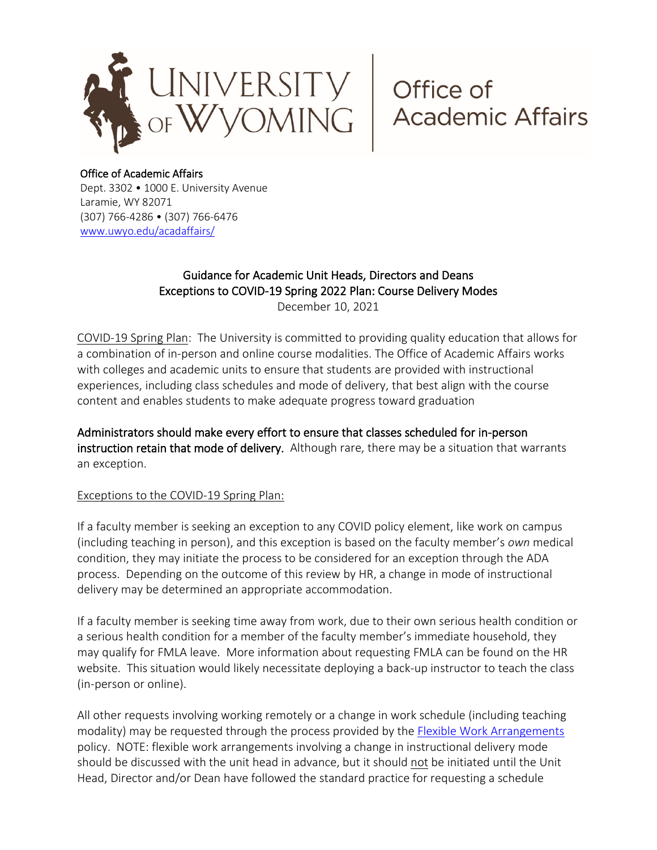

## Office of Academic Affairs

Dept. 3302 • 1000 E. University Avenue Laramie, WY 82071 (307) 766-4286 • (307) 766-6476 [www.uwyo.edu/acadaffairs/](http://www.uwyo.edu/acadaffairs/)

# Guidance for Academic Unit Heads, Directors and Deans Exceptions to COVID-19 Spring 2022 Plan: Course Delivery Modes

December 10, 2021

COVID-19 Spring Plan: The University is committed to providing quality education that allows for a combination of in-person and online course modalities. The Office of Academic Affairs works with colleges and academic units to ensure that students are provided with instructional experiences, including class schedules and mode of delivery, that best align with the course content and enables students to make adequate progress toward graduation

Administrators should make every effort to ensure that classes scheduled for in-person instruction retain that mode of delivery. Although rare, there may be a situation that warrants an exception.

### Exceptions to the COVID-19 Spring Plan:

If a faculty member is seeking an exception to any COVID policy element, like work on campus (including teaching in person), and this exception is based on the faculty member's *own* medical condition, they may initiate the process to be considered for an exception through the ADA process. Depending on the outcome of this review by HR, a change in mode of instructional delivery may be determined an appropriate accommodation.

If a faculty member is seeking time away from work, due to their own serious health condition or a serious health condition for a member of the faculty member's immediate household, they may qualify for FMLA leave. More information about requesting FMLA can be found on the HR website. This situation would likely necessitate deploying a back-up instructor to teach the class (in-person or online).

All other requests involving working remotely or a change in work schedule (including teaching modality) may be requested through the process provided by the [Flexible Work Arrangements](https://www.uwyo.edu/hr/employee-relations/flexible-work-arrangements/index.html) policy. NOTE: flexible work arrangements involving a change in instructional delivery mode should be discussed with the unit head in advance, but it should not be initiated until the Unit Head, Director and/or Dean have followed the standard practice for requesting a schedule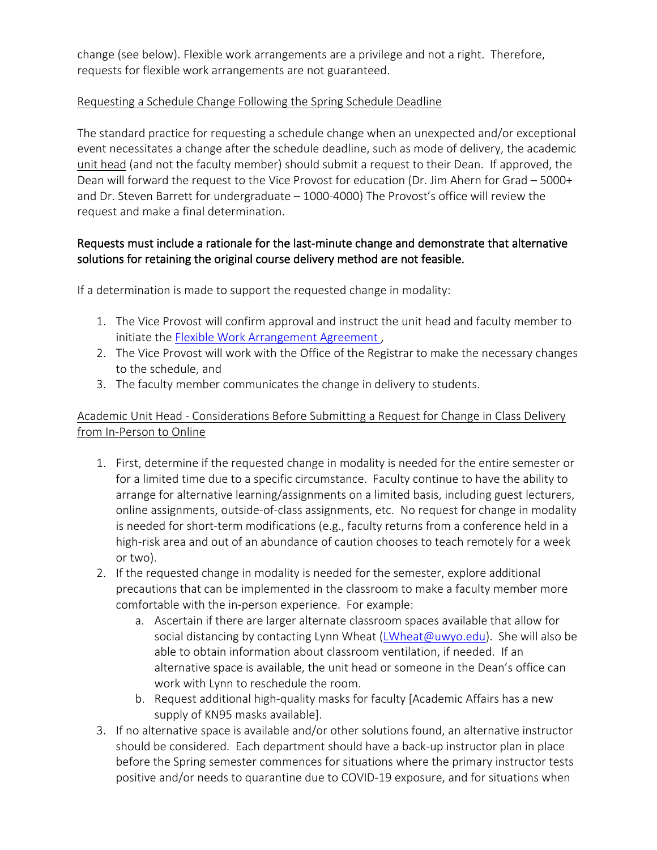change (see below). Flexible work arrangements are a privilege and not a right. Therefore, requests for flexible work arrangements are not guaranteed.

### Requesting a Schedule Change Following the Spring Schedule Deadline

The standard practice for requesting a schedule change when an unexpected and/or exceptional event necessitates a change after the schedule deadline, such as mode of delivery, the academic unit head (and not the faculty member) should submit a request to their Dean. If approved, the Dean will forward the request to the Vice Provost for education (Dr. Jim Ahern for Grad – 5000+ and Dr. Steven Barrett for undergraduate – 1000-4000) The Provost's office will review the request and make a final determination.

# Requests must include a rationale for the last-minute change and demonstrate that alternative solutions for retaining the original course delivery method are not feasible.

If a determination is made to support the requested change in modality:

- 1. The Vice Provost will confirm approval and instruct the unit head and faculty member to initiate the [Flexible Work Arrangement Agreement ,](https://www.uwyo.edu/hr/employee-relations/flexible-work-arrangements/index.html)
- 2. The Vice Provost will work with the Office of the Registrar to make the necessary changes to the schedule, and
- 3. The faculty member communicates the change in delivery to students.

# Academic Unit Head - Considerations Before Submitting a Request for Change in Class Delivery from In-Person to Online

- 1. First, determine if the requested change in modality is needed for the entire semester or for a limited time due to a specific circumstance. Faculty continue to have the ability to arrange for alternative learning/assignments on a limited basis, including guest lecturers, online assignments, outside-of-class assignments, etc. No request for change in modality is needed for short-term modifications (e.g., faculty returns from a conference held in a high-risk area and out of an abundance of caution chooses to teach remotely for a week or two).
- 2. If the requested change in modality is needed for the semester, explore additional precautions that can be implemented in the classroom to make a faculty member more comfortable with the in-person experience. For example:
	- a. Ascertain if there are larger alternate classroom spaces available that allow for social distancing by contacting Lynn Wheat [\(LWheat@uwyo.edu\)](mailto:LWheat@uwyo.edu). She will also be able to obtain information about classroom ventilation, if needed. If an alternative space is available, the unit head or someone in the Dean's office can work with Lynn to reschedule the room.
	- b. Request additional high-quality masks for faculty [Academic Affairs has a new supply of KN95 masks available].
- 3. If no alternative space is available and/or other solutions found, an alternative instructor should be considered. Each department should have a back-up instructor plan in place before the Spring semester commences for situations where the primary instructor tests positive and/or needs to quarantine due to COVID-19 exposure, and for situations when